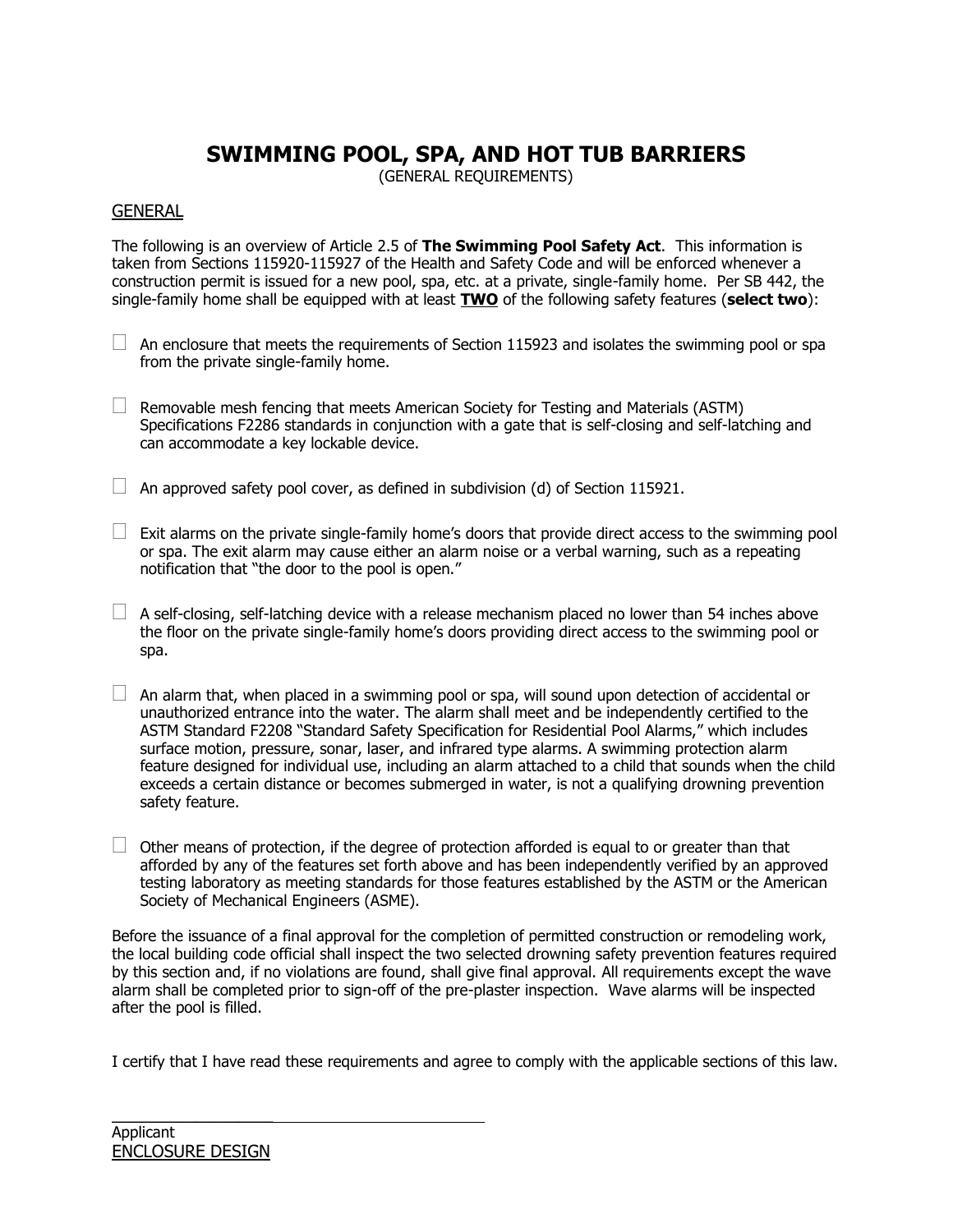## **SWIMMING POOL, SPA, AND HOT TUB BARRIERS**

(GENERAL REQUIREMENTS)

## **GENERAL**

The following is an overview of Article 2.5 of **The Swimming Pool Safety Act**. This information is taken from Sections 115920-115927 of the Health and Safety Code and will be enforced whenever a construction permit is issued for a new pool, spa, etc. at a private, single-family home. Per SB 442, the single-family home shall be equipped with at least **TWO** of the following safety features (**select two**):

 $\Box$  An enclosure that meets the requirements of Section 115923 and isolates the swimming pool or spa from the private single-family home.

 $\Box$  Removable mesh fencing that meets American Society for Testing and Materials (ASTM) Specifications F2286 standards in conjunction with a gate that is self-closing and self-latching and can accommodate a key lockable device.

 $\Box$  An approved safety pool cover, as defined in subdivision (d) of Section 115921.

 $\Box$  Exit alarms on the private single-family home's doors that provide direct access to the swimming pool or spa. The exit alarm may cause either an alarm noise or a verbal warning, such as a repeating notification that "the door to the pool is open."

 $\Box$  A self-closing, self-latching device with a release mechanism placed no lower than 54 inches above the floor on the private single-family home's doors providing direct access to the swimming pool or spa.

 $\Box$  An alarm that, when placed in a swimming pool or spa, will sound upon detection of accidental or unauthorized entrance into the water. The alarm shall meet and be independently certified to the ASTM Standard F2208 "Standard Safety Specification for Residential Pool Alarms," which includes surface motion, pressure, sonar, laser, and infrared type alarms. A swimming protection alarm feature designed for individual use, including an alarm attached to a child that sounds when the child exceeds a certain distance or becomes submerged in water, is not a qualifying drowning prevention safety feature.

 $\Box$  Other means of protection, if the degree of protection afforded is equal to or greater than that afforded by any of the features set forth above and has been independently verified by an approved testing laboratory as meeting standards for those features established by the ASTM or the American Society of Mechanical Engineers (ASME).

Before the issuance of a final approval for the completion of permitted construction or remodeling work, the local building code official shall inspect the two selected drowning safety prevention features required by this section and, if no violations are found, shall give final approval. All requirements except the wave alarm shall be completed prior to sign-off of the pre-plaster inspection. Wave alarms will be inspected after the pool is filled.

I certify that I have read these requirements and agree to comply with the applicable sections of this law.